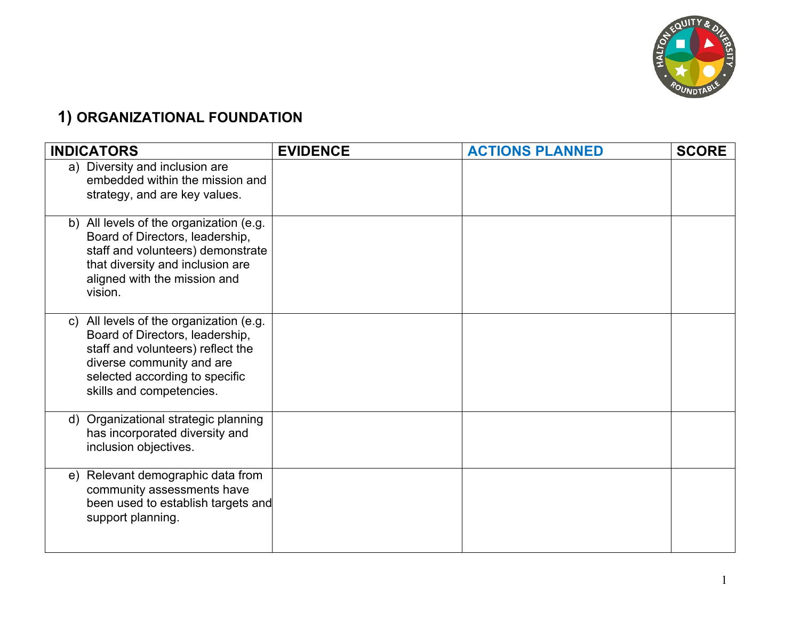

# **1) ORGANIZATIONAL FOUNDATION**

| <b>INDICATORS</b>                                                                                                                                                                                          | <b>EVIDENCE</b> | <b>ACTIONS PLANNED</b> | <b>SCORE</b> |
|------------------------------------------------------------------------------------------------------------------------------------------------------------------------------------------------------------|-----------------|------------------------|--------------|
| a) Diversity and inclusion are<br>embedded within the mission and<br>strategy, and are key values.                                                                                                         |                 |                        |              |
| b) All levels of the organization (e.g.<br>Board of Directors, leadership,<br>staff and volunteers) demonstrate<br>that diversity and inclusion are<br>aligned with the mission and<br>vision.             |                 |                        |              |
| c) All levels of the organization (e.g.<br>Board of Directors, leadership,<br>staff and volunteers) reflect the<br>diverse community and are<br>selected according to specific<br>skills and competencies. |                 |                        |              |
| d) Organizational strategic planning<br>has incorporated diversity and<br>inclusion objectives.                                                                                                            |                 |                        |              |
| Relevant demographic data from<br>e)<br>community assessments have<br>been used to establish targets and<br>support planning.                                                                              |                 |                        |              |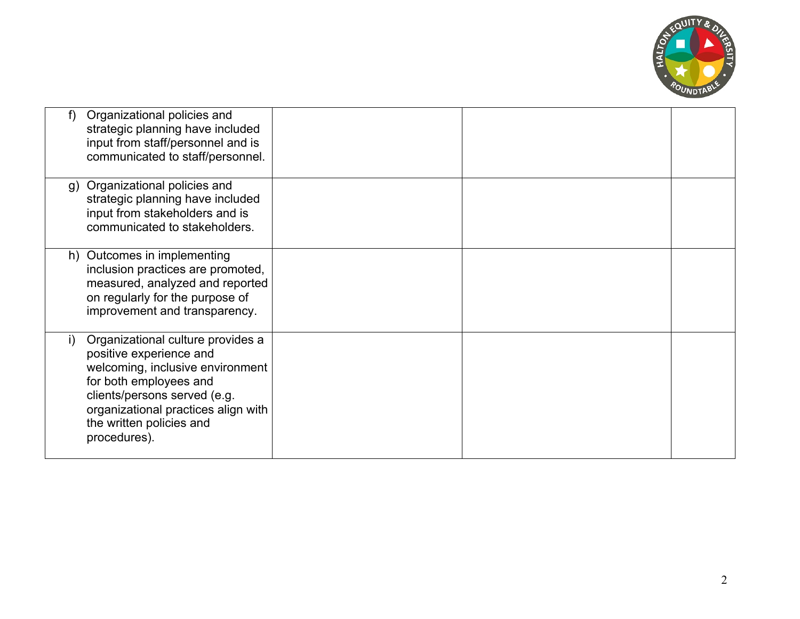

| f  | Organizational policies and<br>strategic planning have included<br>input from staff/personnel and is<br>communicated to staff/personnel.                                                                                                      |  |  |
|----|-----------------------------------------------------------------------------------------------------------------------------------------------------------------------------------------------------------------------------------------------|--|--|
| g) | Organizational policies and<br>strategic planning have included<br>input from stakeholders and is<br>communicated to stakeholders.                                                                                                            |  |  |
|    | h) Outcomes in implementing<br>inclusion practices are promoted,<br>measured, analyzed and reported<br>on regularly for the purpose of<br>improvement and transparency.                                                                       |  |  |
| I) | Organizational culture provides a<br>positive experience and<br>welcoming, inclusive environment<br>for both employees and<br>clients/persons served (e.g.<br>organizational practices align with<br>the written policies and<br>procedures). |  |  |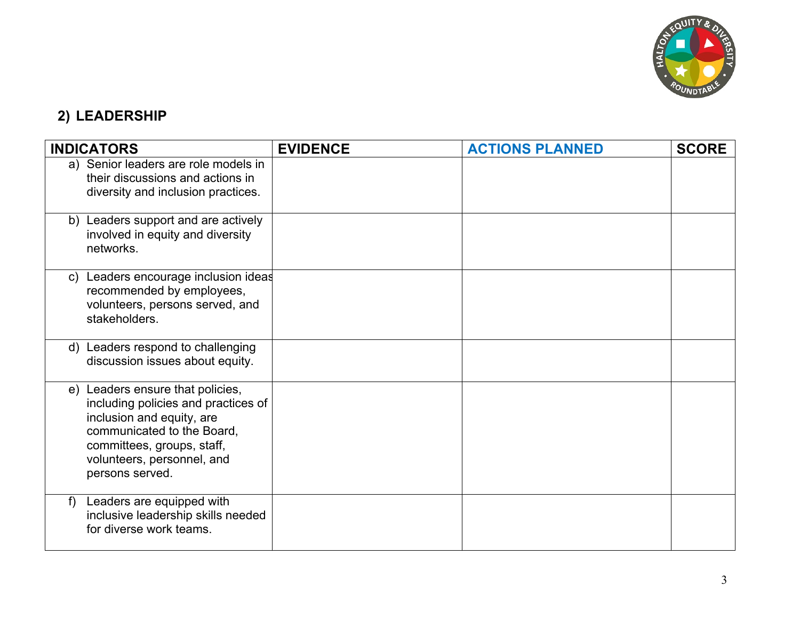

# **2) LEADERSHIP**

|              | <b>INDICATORS</b>                                                                                                                                                                                                 | <b>EVIDENCE</b> | <b>ACTIONS PLANNED</b> | <b>SCORE</b> |
|--------------|-------------------------------------------------------------------------------------------------------------------------------------------------------------------------------------------------------------------|-----------------|------------------------|--------------|
|              | a) Senior leaders are role models in<br>their discussions and actions in<br>diversity and inclusion practices.                                                                                                    |                 |                        |              |
|              | b) Leaders support and are actively<br>involved in equity and diversity<br>networks.                                                                                                                              |                 |                        |              |
| $\mathsf{C}$ | Leaders encourage inclusion ideas<br>recommended by employees,<br>volunteers, persons served, and<br>stakeholders.                                                                                                |                 |                        |              |
|              | d) Leaders respond to challenging<br>discussion issues about equity.                                                                                                                                              |                 |                        |              |
|              | e) Leaders ensure that policies,<br>including policies and practices of<br>inclusion and equity, are<br>communicated to the Board,<br>committees, groups, staff,<br>volunteers, personnel, and<br>persons served. |                 |                        |              |
| f            | Leaders are equipped with<br>inclusive leadership skills needed<br>for diverse work teams.                                                                                                                        |                 |                        |              |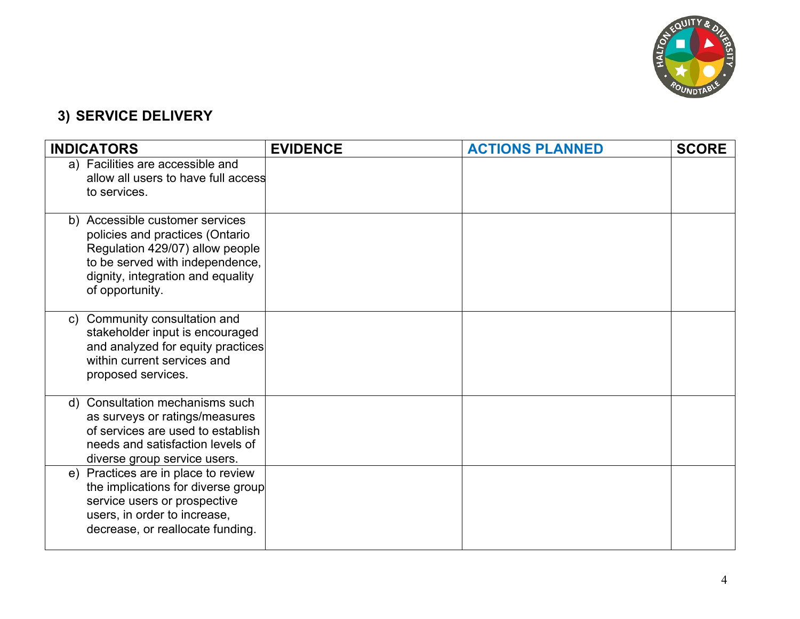

# **3) SERVICE DELIVERY**

| <b>INDICATORS</b>                                                                                                                                                                                | <b>EVIDENCE</b> | <b>ACTIONS PLANNED</b> | <b>SCORE</b> |
|--------------------------------------------------------------------------------------------------------------------------------------------------------------------------------------------------|-----------------|------------------------|--------------|
| a) Facilities are accessible and<br>allow all users to have full access<br>to services.                                                                                                          |                 |                        |              |
| b) Accessible customer services<br>policies and practices (Ontario<br>Regulation 429/07) allow people<br>to be served with independence,<br>dignity, integration and equality<br>of opportunity. |                 |                        |              |
| Community consultation and<br>C)<br>stakeholder input is encouraged<br>and analyzed for equity practices<br>within current services and<br>proposed services.                                    |                 |                        |              |
| d) Consultation mechanisms such<br>as surveys or ratings/measures<br>of services are used to establish<br>needs and satisfaction levels of<br>diverse group service users.                       |                 |                        |              |
| e) Practices are in place to review<br>the implications for diverse group<br>service users or prospective<br>users, in order to increase,<br>decrease, or reallocate funding.                    |                 |                        |              |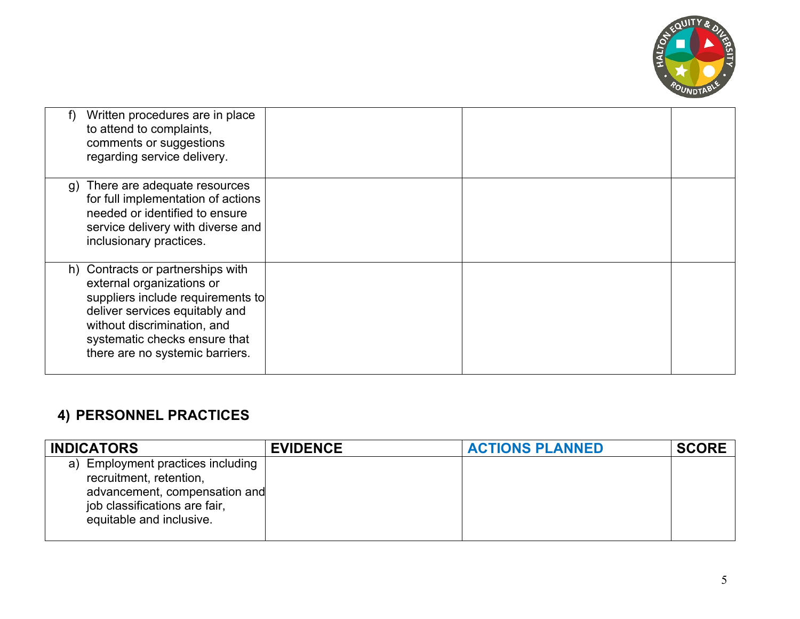

|    | Written procedures are in place<br>to attend to complaints,<br>comments or suggestions<br>regarding service delivery.                                                                                                                    |  |  |
|----|------------------------------------------------------------------------------------------------------------------------------------------------------------------------------------------------------------------------------------------|--|--|
| g) | There are adequate resources<br>for full implementation of actions<br>needed or identified to ensure<br>service delivery with diverse and<br>inclusionary practices.                                                                     |  |  |
|    | h) Contracts or partnerships with<br>external organizations or<br>suppliers include requirements to<br>deliver services equitably and<br>without discrimination, and<br>systematic checks ensure that<br>there are no systemic barriers. |  |  |

#### **4) PERSONNEL PRACTICES**

| <b>INDICATORS</b>                                                                                                                                          | <b>EVIDENCE</b> | <b>ACTIONS PLANNED</b> | <b>SCORE</b> |
|------------------------------------------------------------------------------------------------------------------------------------------------------------|-----------------|------------------------|--------------|
| a) Employment practices including<br>recruitment, retention,<br>advancement, compensation and<br>job classifications are fair,<br>equitable and inclusive. |                 |                        |              |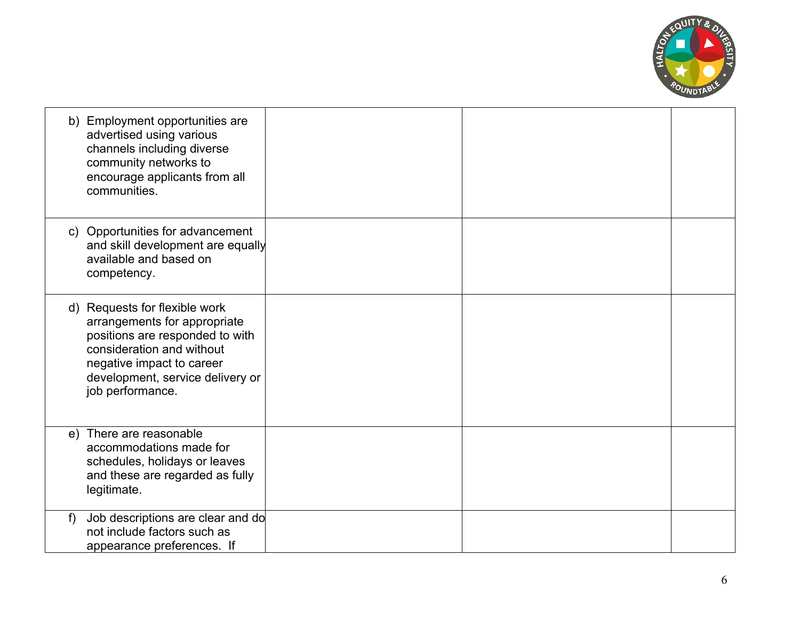

|   | b) Employment opportunities are<br>advertised using various<br>channels including diverse<br>community networks to<br>encourage applicants from all<br>communities.                                                |  |  |
|---|--------------------------------------------------------------------------------------------------------------------------------------------------------------------------------------------------------------------|--|--|
|   | c) Opportunities for advancement<br>and skill development are equally<br>available and based on<br>competency.                                                                                                     |  |  |
|   | d) Requests for flexible work<br>arrangements for appropriate<br>positions are responded to with<br>consideration and without<br>negative impact to career<br>development, service delivery or<br>job performance. |  |  |
|   | e) There are reasonable<br>accommodations made for<br>schedules, holidays or leaves<br>and these are regarded as fully<br>legitimate.                                                                              |  |  |
| f | Job descriptions are clear and do<br>not include factors such as<br>appearance preferences. If                                                                                                                     |  |  |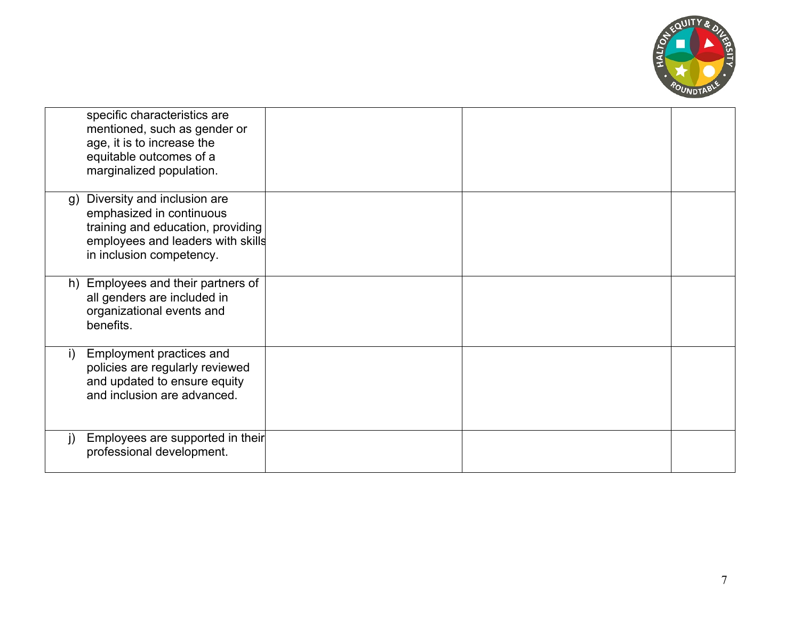

|    | specific characteristics are<br>mentioned, such as gender or<br>age, it is to increase the<br>equitable outcomes of a<br>marginalized population.             |  |  |
|----|---------------------------------------------------------------------------------------------------------------------------------------------------------------|--|--|
| g) | Diversity and inclusion are<br>emphasized in continuous<br>training and education, providing<br>employees and leaders with skills<br>in inclusion competency. |  |  |
|    | h) Employees and their partners of<br>all genders are included in<br>organizational events and<br>benefits.                                                   |  |  |
| i) | Employment practices and<br>policies are regularly reviewed<br>and updated to ensure equity<br>and inclusion are advanced.                                    |  |  |
| j) | Employees are supported in their<br>professional development.                                                                                                 |  |  |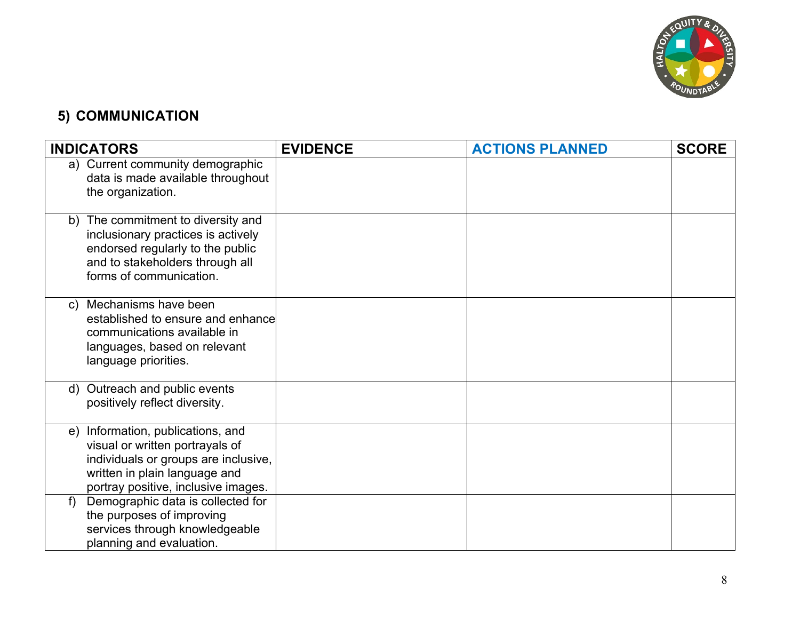

## **5) COMMUNICATION**

| <b>INDICATORS</b>                                                                                                                                                                       | <b>EVIDENCE</b> | <b>ACTIONS PLANNED</b> | <b>SCORE</b> |
|-----------------------------------------------------------------------------------------------------------------------------------------------------------------------------------------|-----------------|------------------------|--------------|
| a) Current community demographic<br>data is made available throughout<br>the organization.                                                                                              |                 |                        |              |
| The commitment to diversity and<br>b)<br>inclusionary practices is actively<br>endorsed regularly to the public<br>and to stakeholders through all<br>forms of communication.           |                 |                        |              |
| Mechanisms have been<br>$\mathsf{C}$<br>established to ensure and enhance<br>communications available in<br>languages, based on relevant<br>language priorities.                        |                 |                        |              |
| d) Outreach and public events<br>positively reflect diversity.                                                                                                                          |                 |                        |              |
| Information, publications, and<br>e)<br>visual or written portrayals of<br>individuals or groups are inclusive,<br>written in plain language and<br>portray positive, inclusive images. |                 |                        |              |
| Demographic data is collected for<br>f<br>the purposes of improving<br>services through knowledgeable<br>planning and evaluation.                                                       |                 |                        |              |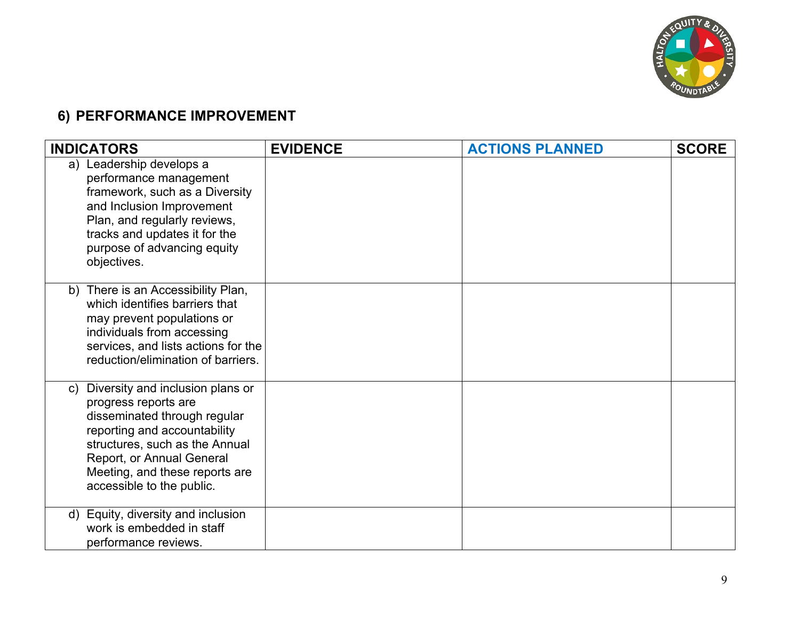

## **6) PERFORMANCE IMPROVEMENT**

| <b>INDICATORS</b>                                                                                                                                                                                                                                                      | <b>EVIDENCE</b> | <b>ACTIONS PLANNED</b> | <b>SCORE</b> |
|------------------------------------------------------------------------------------------------------------------------------------------------------------------------------------------------------------------------------------------------------------------------|-----------------|------------------------|--------------|
| a) Leadership develops a<br>performance management<br>framework, such as a Diversity<br>and Inclusion Improvement<br>Plan, and regularly reviews,<br>tracks and updates it for the<br>purpose of advancing equity<br>objectives.                                       |                 |                        |              |
| b) There is an Accessibility Plan,<br>which identifies barriers that<br>may prevent populations or<br>individuals from accessing<br>services, and lists actions for the<br>reduction/elimination of barriers.                                                          |                 |                        |              |
| Diversity and inclusion plans or<br>$\mathsf{C}$<br>progress reports are<br>disseminated through regular<br>reporting and accountability<br>structures, such as the Annual<br>Report, or Annual General<br>Meeting, and these reports are<br>accessible to the public. |                 |                        |              |
| Equity, diversity and inclusion<br>d)<br>work is embedded in staff<br>performance reviews.                                                                                                                                                                             |                 |                        |              |